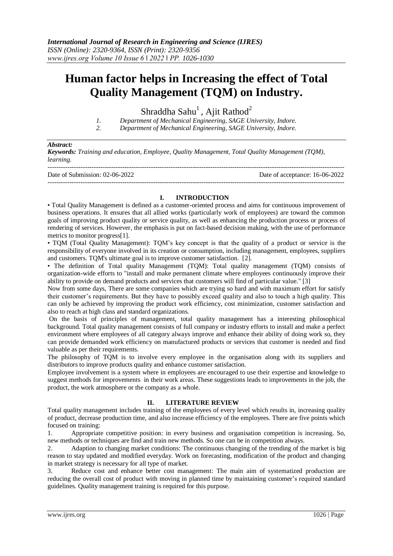# **Human factor helps in Increasing the effect of Total Quality Management (TQM) on Industry.**

Shraddha Sahu<sup>1</sup>, Ajit Rathod<sup>2</sup>

*1. Department of Mechanical Engineering, SAGE University, Indore.*

*2. Department of Mechanical Engineering, SAGE University, Indore.*

#### *Abstract:*

*Keywords: Training and education, Employee, Quality Management, Total Quality Management (TQM), learning.*

| Date of Submission: 02-06-2022 | Date of acceptance: 16-06-2022 |
|--------------------------------|--------------------------------|
|                                |                                |

#### **I. INTRODUCTION**

• Total Quality Management is defined as a customer-oriented process and aims for continuous improvement of business operations. It ensures that all allied works (particularly work of employees) are toward the common goals of improving product quality or service quality, as well as enhancing the production process or process of rendering of services. However, the emphasis is put on fact-based decision making, with the use of performance metrics to monitor progress[1].

• TQM (Total Quality Management): TQM's key concept is that the quality of a product or service is the responsibility of everyone involved in its creation or consumption, including management, employees, suppliers and customers. TQM's ultimate goal is to improve customer satisfaction. [2].

• The definition of Total quality Management (TQM): Total quality management (TQM) consists of organization-wide efforts to "install and make permanent climate where employees continuously improve their ability to provide on demand products and services that customers will find of particular value." [3]

Now from some days, There are some companies which are trying so hard and with maximum effort for satisfy their customer's requirements. But they have to possibly exceed quality and also to touch a high quality. This can only be achieved by improving the product work efficiency, cost minimization, customer satisfaction and also to reach at high class and standard organizations.

On the basis of principles of management, total quality management has a interesting philosophical background. Total quality management consists of full company or industry efforts to install and make a perfect environment where employees of all category always improve and enhance their ability of doing work so, they can provide demanded work efficiency on manufactured products or services that customer is needed and find valuable as per their requirements.

The philosophy of TQM is to involve every employee in the organisation along with its suppliers and distributors to improve products quality and enhance customer satisfaction.

Employee involvement is a system where in employees are encouraged to use their expertise and knowledge to suggest methods for improvements in their work areas. These suggestions leads to improvements in the job, the product, the work atmosphere or the company as a whole.

#### **II. LITERATURE REVIEW**

Total quality management includes training of the employees of every level which results in, increasing quality of product, decrease production time, and also increase efficiency of the employees. There are five points which focused on training:

1. Appropriate competitive position: in every business and organisation competition is increasing. So, new methods or techniques are find and train new methods. So one can be in competition always.

2. Adaption to changing market conditions: The continuous changing of the trending of the market is big reason to stay updated and modified everyday. Work on forecasting, modification of the product and changing in market strategy is necessary for all type of market.

3. Reduce cost and enhance better cost management: The main aim of systematized production are reducing the overall cost of product with moving in planned time by maintaining customer's required standard guidelines. Quality management training is required for this purpose.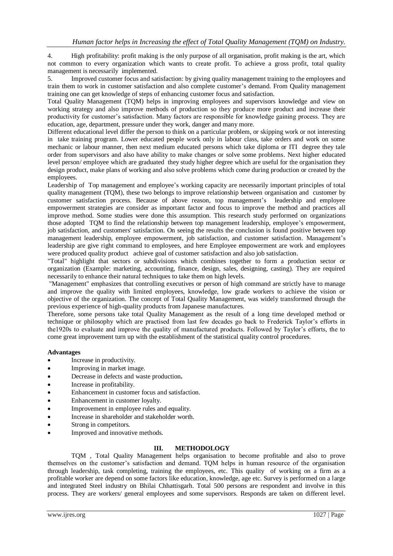4. High profitability: profit making is the only purpose of all organisation, profit making is the art, which not common to every organization which wants to create profit. To achieve a gross profit, total quality management is necessarily implemented.

5. Improved customer focus and satisfaction: by giving quality management training to the employees and train them to work in customer satisfaction and also complete customer's demand. From Quality management training one can get knowledge of steps of enhancing customer focus and satisfaction.

Total Quality Management (TQM) helps in improving employees and supervisors knowledge and view on working strategy and also improve methods of production so they produce more product and increase their productivity for customer's satisfaction. Many factors are responsible for knowledge gaining process. They are education, age, department, pressure under they work, danger and many more.

Different educational level differ the person to think on a particular problem, or skipping work or not interesting in take training program. Lower educated people work only in labour class, take orders and work on some mechanic or labour manner, then next medium educated persons which take diploma or ITI degree they tale order from supervisors and also have ability to make changes or solve some problems. Next higher educated level person/ employee which are graduated they study higher degree which are useful for the organisation they design product, make plans of working and also solve problems which come during production or created by the employees.

Leadership of Top management and employee's working capacity are necessarily important principles of total quality management (TQM), these two belongs to improve relationship between organisation and customer by customer satisfaction process. Because of above reason, top management's leadership and employee empowerment strategies are consider as important factor and focus to improve the method and practices all improve method. Some studies were done this assumption. This research study performed on organizations those adopted TQM to find the relationship between top management leadership, employee's empowerment, job satisfaction, and customers' satisfaction. On seeing the results the conclusion is found positive between top management leadership, employee empowerment, job satisfaction, and customer satisfaction. Management's leadership are give right command to employees, and here Employee empowerment are work and employees were produced quality product achieve goal of customer satisfaction and also job satisfaction.

"Total" highlight that sectors or subdivisions which combines together to form a production sector or organization (Example: marketing, accounting, finance, design, sales, designing, casting). They are required necessarily to enhance their natural techniques to take them on high levels.

"Management" emphasizes that controlling executives or person of high command are strictly have to manage and improve the quality with limited employees, knowledge, low grade workers to achieve the vision or objective of the organization. The concept of Total Quality Management, was widely transformed through the previous experience of high-quality products from Japanese manufactures.

Therefore, some persons take total Quality Management as the result of a long time developed method or technique or philosophy which are practised from last few decades go back to Frederick Taylor's efforts in the1920s to evaluate and improve the quality of manufactured products. Followed by Taylor's efforts, the to come great improvement turn up with the establishment of the statistical quality control procedures.

#### **Advantages**

- Increase in productivity.
- Improving in market image.
- Decrease in defects and waste production**.**
- Increase in profitability.
- Enhancement in customer focus and satisfaction.
- Enhancement in customer loyalty.
- Improvement in employee rules and equality.
- Increase in shareholder and stakeholder worth.
- Strong in competitors.
- Improved and innovative methods.

#### **III. METHODOLOGY**

TQM , Total Quality Management helps organisation to become profitable and also to prove themselves on the customer's satisfaction and demand. TQM helps in human resource of the organisation through leadership, task completing, training the employees, etc. This quality of working on a firm as a profitable worker are depend on some factors like education, knowledge, age etc. Survey is performed on a large and integrated Steel industry on Bhilai Chhattisgarh. Total 500 persons are respondent and involve in this process. They are workers/ general employees and some supervisors. Responds are taken on different level.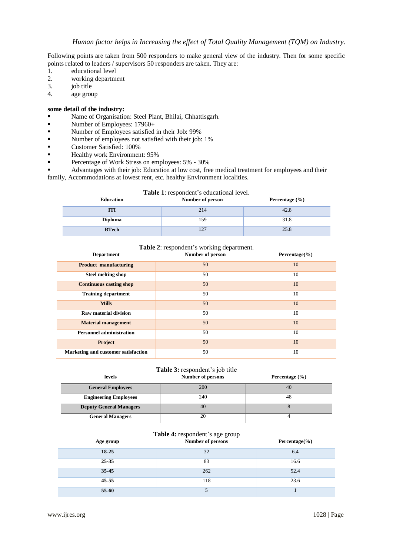Following points are taken from 500 responders to make general view of the industry. Then for some specific points related to leaders / supervisors 50 responders are taken. They are:

- 1. educational level
- 2. working department
- 3. job title
- 4. age group

### **some detail of the industry:**

- Name of Organisation: Steel Plant, Bhilai, Chhattisgarh.
- Number of Employees: 17960+
- Number of Employees satisfied in their Job: 99%
- Number of employees not satisfied with their job: 1%
- Customer Satisfied: 100%
- Healthy work Environment: 95%
- Percentage of Work Stress on employees: 5% 30%

 Advantages with their job: Education at low cost, free medical treatment for employees and their family, Accommodations at lowest rent, etc. healthy Environment localities.

#### **Table 1**: respondent's educational level.

| Education      | Number of person | Percentage $(\% )$ |  |
|----------------|------------------|--------------------|--|
| ITI            | 214              | 42.8               |  |
| <b>Diploma</b> | 159              | 31.8               |  |
| <b>BTech</b>   | 127              | 25.8               |  |

## **Table 2**: respondent's working department.

| <b>Department</b>                   | Number of person | Percentage $(\% )$ |
|-------------------------------------|------------------|--------------------|
| <b>Product manufacturing</b>        | 50               | 10                 |
| <b>Steel melting shop</b>           | 50               | 10                 |
| <b>Continuous casting shop</b>      | 50               | 10                 |
| <b>Training department</b>          | 50               | 10                 |
| <b>Mills</b>                        | 50               | 10                 |
| <b>Raw material division</b>        | 50               | 10                 |
| <b>Material management</b>          | 50               | 10                 |
| <b>Personnel administration</b>     | 50               | 10                 |
| <b>Project</b>                      | 50               | 10                 |
| Marketing and customer satisfaction | 50               | 10                 |

### **Table 3:** respondent's job title

| levels                         | Number of persons | Percentage $(\% )$ |
|--------------------------------|-------------------|--------------------|
| <b>General Employees</b>       | 200               | 40                 |
| <b>Engineering Employees</b>   | 240               | 48                 |
| <b>Deputy General Managers</b> | 40                |                    |
| <b>General Managers</b>        | 20                |                    |

#### **Table 4:** respondent's age group

| Age group | Number of persons | Percentage $(\% )$ |
|-----------|-------------------|--------------------|
| 18-25     | 32                | 6.4                |
| 25-35     | 83                | 16.6               |
| 35-45     | 262               | 52.4               |
| $45 - 55$ | 118               | 23.6               |
| 55-60     | C                 |                    |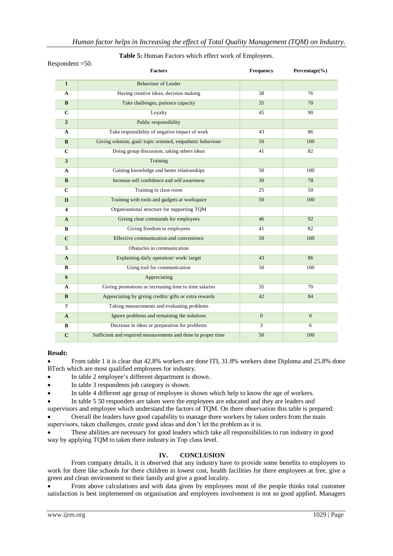| лронцент – эм. | <b>Factors</b>                                               | Frequency      | Percentage(%) |
|----------------|--------------------------------------------------------------|----------------|---------------|
| $\mathbf{1}$   | <b>Behaviour of Leader</b>                                   |                |               |
| A              | Having creative ideas, decision making                       | 38             | 76            |
| B              | Take challenges, patience capacity                           | 35             | 70            |
| $\mathbf C$    | Loyalty                                                      | 45             | 90            |
| $\overline{2}$ | Public responsibility                                        |                |               |
| A              | Take responsibility of negative impact of work               | 43             | 86            |
| B              | Giving solution, goal/topic oriented, empathetic behaviour   | 50             | 100           |
| $\mathbf C$    | Doing group discussion, taking others ideas                  | 41             | 82            |
| 3              | Training                                                     |                |               |
| $\mathbf{A}$   | Gaining knowledge and better relationships                   | 50             | 100           |
| B              | Increase self confidence and self awareness                  | 39             | 78            |
| $\mathbf C$    | Training in class room                                       | 25             | 50            |
| D              | Training with tools and gadgets at workspace                 | 50             | 100           |
| 4              | Organisational structure for supporting TQM                  |                |               |
| A              | Giving clear commands for employees                          | 46             | 92            |
| B              | Giving freedom to employees                                  | 41             | 82            |
| $\mathbf C$    | Effective communication and convenience                      | 50             | 100           |
| 5              | Obstacles in communication                                   |                |               |
| $\mathbf{A}$   | Explaining daily operation/work/target                       | 43             | 86            |
| B              | Using tool for communication                                 | 50             | 100           |
| 6              | Appreciating                                                 |                |               |
| A              | Giving promotions or increasing time to time salaries        | 35             | 70            |
| B              | Appreciating by giving credits/ gifts or extra rewards       | 42             | 84            |
| 7              | Taking measurements and evaluating problems                  |                |               |
| A              | Ignore problems and remaining the solutions                  | $\overline{0}$ | $\Omega$      |
| В              | Decrease in ideas or preparation for problems                | 3              | 6             |
| $\mathbf C$    | Sufficient and required measurements and done in proper time | 50             | 100           |

## Respondent  $=50$ .

## **Table 5:** Human Factors which effect work of Employees.

#### **Result:**

 From table 1 it is clear that 42.8% workers are done ITI, 31.8% workers done Diploma and 25.8% done BTech which are most qualified employees for industry.

- In table 2 employee's different department is shown.
- In table 3 respondents job category is shown.
- In table 4 different age group of employee is shown which help to know the age of workers.

In table 5 50 responders are taken were the employees are educated and they are leaders and

supervisors and employee which understand the factors of TQM. On there observation this table is prepared: Overall the leaders have good capability to manage there workers by taken orders from the main

supervisors, taken challenges, create good ideas and don't let the problem as it is.

 These abilities are necessary for good leaders which take all responsibilities to run industry in good way by applying TQM to taken there industry in Top class level.

# **IV. CONCLUSION**

From company details, it is observed that any industry have to provide some benefits to employees to work for there like schools for there children in lowest cost, health facilities for there employees at free, give a green and clean environment to their family and give a good locality.

 From above calculations and with data given by employees most of the people thinks total customer satisfaction is best implemented on organisation and employees involvement is not so good applied. Managers